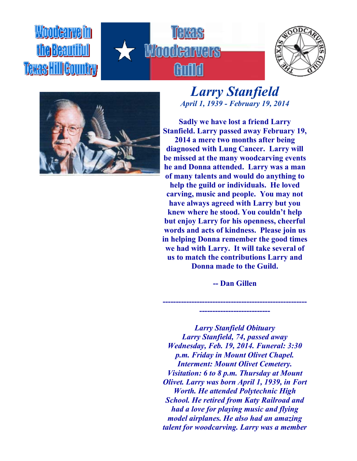## Woodearneim **Texas HillGountry**







## *Larry Stanfield April 1, 1939 - February 19, 2014*

**Sadly we have lost a friend Larry Stanfield. Larry passed away February 19, 2014 a mere two months after being diagnosed with Lung Cancer. Larry will be missed at the many woodcarving events he and Donna attended. Larry was a man of many talents and would do anything to help the guild or individuals. He loved carving, music and people. You may not have always agreed with Larry but you knew where he stood. You couldn't help but enjoy Larry for his openness, cheerful words and acts of kindness. Please join us in helping Donna remember the good times we had with Larry. It will take several of us to match the contributions Larry and Donna made to the Guild.**

**-- Dan Gillen**

**------------------------------------------------------- ---------------------------**

*Larry Stanfield Obituary Larry Stanfield, 74, passed away Wednesday, Feb. 19, 2014. Funeral: 3:30 p.m. Friday in Mount Olivet Chapel. Interment: Mount Olivet Cemetery. Visitation: 6 to 8 p.m. Thursday at Mount Olivet. Larry was born April 1, 1939, in Fort Worth. He attended Polytechnic High School. He retired from Katy Railroad and had a love for playing music and flying model airplanes. He also had an amazing talent for woodcarving. Larry was a member*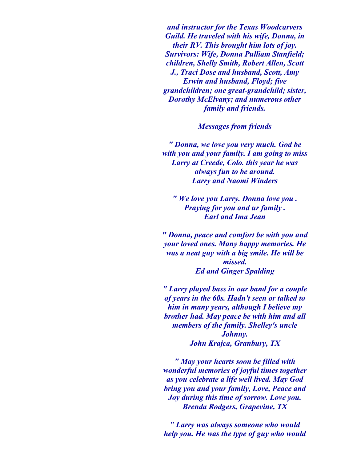*and instructor for the Texas Woodcarvers Guild. He traveled with his wife, Donna, in their RV. This brought him lots of joy. Survivors: Wife, Donna Pulliam Stanfield; children, Shelly Smith, Robert Allen, Scott J., Traci Dose and husband, Scott, Amy Erwin and husband, Floyd; five grandchildren; one great-grandchild; sister, Dorothy McElvany; and numerous other family and friends.*

*Messages from friends*

*" Donna, we love you very much. God be with you and your family. I am going to miss Larry at Creede, Colo. this year he was always fun to be around. Larry and Naomi Winders*

*" We love you Larry. Donna love you . Praying for you and ur family . Earl and Ima Jean*

*" Donna, peace and comfort be with you and your loved ones. Many happy memories. He was a neat guy with a big smile. He will be missed. Ed and Ginger Spalding*

*" Larry played bass in our band for a couple of years in the 60s. Hadn't seen or talked to him in many years, although I believe my brother had. May peace be with him and all members of the family. Shelley's uncle Johnny. John Krajca, Granbury, TX*

*" May your hearts soon be filled with wonderful memories of joyful times together as you celebrate a life well lived. May God bring you and your family, Love, Peace and Joy during this time of sorrow. Love you. Brenda Rodgers, Grapevine, TX*

*" Larry was always someone who would help you. He was the type of guy who would*